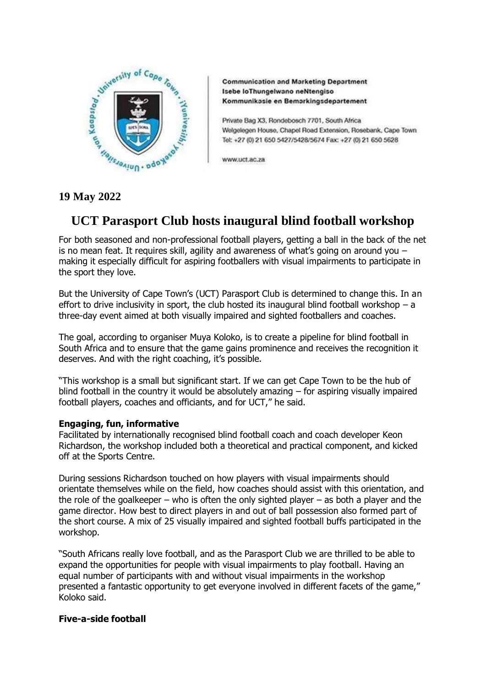

**Communication and Marketing Department** Isebe loThungelwano neNtengiso Kommunikasie en Bemarkingsdepartement

Private Bag X3, Rondebosch 7701, South Africa Welgelegen House, Chapel Road Extension, Rosebank, Cape Town Tel: +27 (0) 21 650 5427/5428/5674 Fax: +27 (0) 21 650 5628

www.uct.ac.za

## **19 May 2022**

# **UCT Parasport Club hosts inaugural blind football workshop**

For both seasoned and non-professional football players, getting a ball in the back of the net is no mean feat. It requires skill, agility and awareness of what's going on around you  $$ making it especially difficult for aspiring footballers with visual impairments to participate in the sport they love.

But the University of Cape Town's (UCT) Parasport Club is determined to change this. In an effort to drive inclusivity in sport, the club hosted its inaugural blind football workshop  $-$  a three-day event aimed at both visually impaired and sighted footballers and coaches.

The goal, according to organiser Muya Koloko, is to create a pipeline for blind football in South Africa and to ensure that the game gains prominence and receives the recognition it deserves. And with the right coaching, it's possible.

"This workshop is a small but significant start. If we can get Cape Town to be the hub of blind football in the country it would be absolutely amazing – for aspiring visually impaired football players, coaches and officiants, and for UCT," he said.

### **Engaging, fun, informative**

Facilitated by internationally recognised blind football coach and coach developer Keon Richardson, the workshop included both a theoretical and practical component, and kicked off at the Sports Centre.

During sessions Richardson touched on how players with visual impairments should orientate themselves while on the field, how coaches should assist with this orientation, and the role of the goalkeeper – who is often the only sighted player – as both a player and the game director. How best to direct players in and out of ball possession also formed part of the short course. A mix of 25 visually impaired and sighted football buffs participated in the workshop.

"South Africans really love football, and as the Parasport Club we are thrilled to be able to expand the opportunities for people with visual impairments to play football. Having an equal number of participants with and without visual impairments in the workshop presented a fantastic opportunity to get everyone involved in different facets of the game," Koloko said.

#### **Five-a-side football**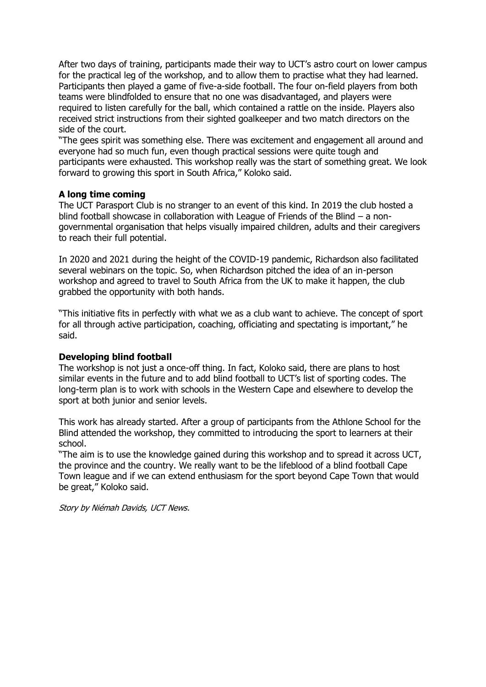After two days of training, participants made their way to UCT's astro court on lower campus for the practical leg of the workshop, and to allow them to practise what they had learned. Participants then played a game of five-a-side football. The four on-field players from both teams were blindfolded to ensure that no one was disadvantaged, and players were required to listen carefully for the ball, which contained a rattle on the inside. Players also received strict instructions from their sighted goalkeeper and two match directors on the side of the court.

"The gees spirit was something else. There was excitement and engagement all around and everyone had so much fun, even though practical sessions were quite tough and participants were exhausted. This workshop really was the start of something great. We look forward to growing this sport in South Africa," Koloko said.

#### **A long time coming**

The UCT Parasport Club is no stranger to an event of this kind. In 2019 the club hosted a blind football showcase in collaboration with League of Friends of the Blind – a nongovernmental organisation that helps visually impaired children, adults and their caregivers to reach their full potential.

In 2020 and 2021 during the height of the COVID-19 pandemic, Richardson also facilitated several webinars on the topic. So, when Richardson pitched the idea of an in-person workshop and agreed to travel to South Africa from the UK to make it happen, the club grabbed the opportunity with both hands.

"This initiative fits in perfectly with what we as a club want to achieve. The concept of sport for all through active participation, coaching, officiating and spectating is important," he said.

#### **Developing blind football**

The workshop is not just a once-off thing. In fact, Koloko said, there are plans to host similar events in the future and to add blind football to UCT's list of sporting codes. The long-term plan is to work with schools in the Western Cape and elsewhere to develop the sport at both junior and senior levels.

This work has already started. After a group of participants from the Athlone School for the Blind attended the workshop, they committed to introducing the sport to learners at their school.

"The aim is to use the knowledge gained during this workshop and to spread it across UCT, the province and the country. We really want to be the lifeblood of a blind football Cape Town league and if we can extend enthusiasm for the sport beyond Cape Town that would be great," Koloko said.

Story by Niémah Davids, UCT News.